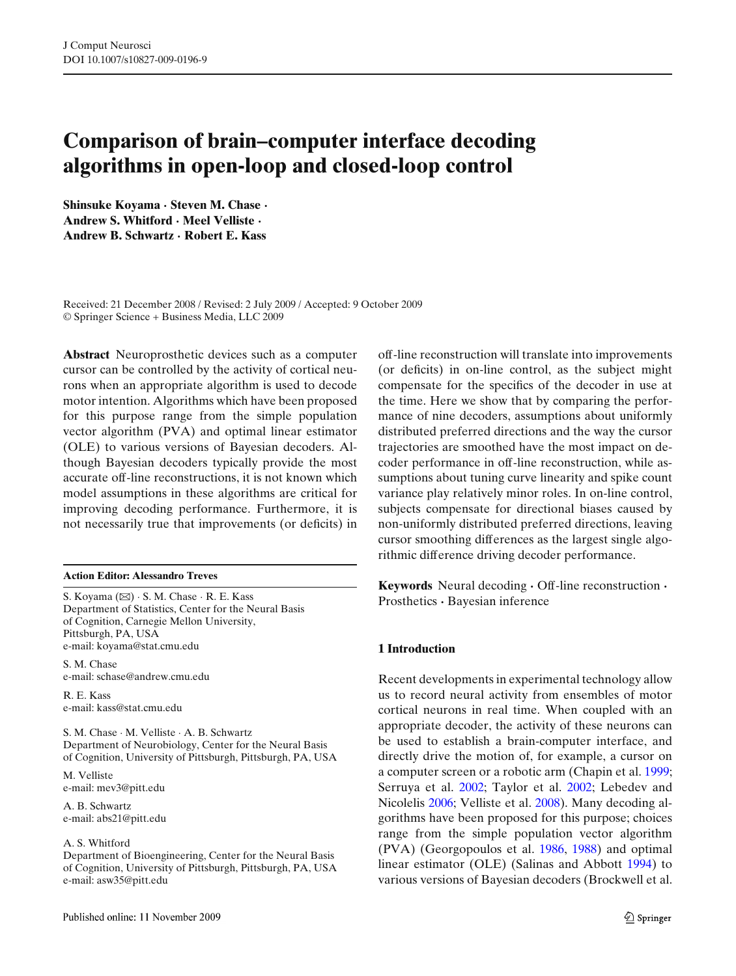# **Comparison of brain–computer interface decoding algorithms in open-loop and closed-loop control**

**Shinsuke Koyama · Steven M. Chase · Andrew S. Whitford · Meel Velliste · Andrew B. Schwartz · Robert E. Kass**

Received: 21 December 2008 / Revised: 2 July 2009 / Accepted: 9 October 2009 © Springer Science + Business Media, LLC 2009

**Abstract** Neuroprosthetic devices such as a computer cursor can be controlled by the activity of cortical neurons when an appropriate algorithm is used to decode motor intention. Algorithms which have been proposed for this purpose range from the simple population vector algorithm (PVA) and optimal linear estimator (OLE) to various versions of Bayesian decoders. Although Bayesian decoders typically provide the most accurate off-line reconstructions, it is not known which model assumptions in these algorithms are critical for improving decoding performance. Furthermore, it is not necessarily true that improvements (or deficits) in

#### **Action Editor: Alessandro Treves**

S. Koyama (⊠) · S. M. Chase · R. E. Kass Department of Statistics, Center for the Neural Basis of Cognition, Carnegie Mellon University, Pittsburgh, PA, USA e-mail: koyama@stat.cmu.edu

S. M. Chase e-mail: schase@andrew.cmu.edu

R. E. Kass e-mail: kass@stat.cmu.edu

S. M. Chase · M. Velliste · A. B. Schwartz Department of Neurobiology, Center for the Neural Basis of Cognition, University of Pittsburgh, Pittsburgh, PA, USA

M. Velliste e-mail: mev3@pitt.edu

A. B. Schwartz e-mail: abs21@pitt.edu

#### A. S. Whitford

Department of Bioengineering, Center for the Neural Basis of Cognition, University of Pittsburgh, Pittsburgh, PA, USA e-mail: asw35@pitt.edu

off-line reconstruction will translate into improvements (or deficits) in on-line control, as the subject might compensate for the specifics of the decoder in use at the time. Here we show that by comparing the performance of nine decoders, assumptions about uniformly distributed preferred directions and the way the cursor trajectories are smoothed have the most impact on decoder performance in off-line reconstruction, while assumptions about tuning curve linearity and spike count variance play relatively minor roles. In on-line control, subjects compensate for directional biases caused by non-uniformly distributed preferred directions, leaving cursor smoothing differences as the largest single algorithmic difference driving decoder performance.

**Keywords** Neural decoding **·** Off-line reconstruction **·** Prosthetics **·** Bayesian inference

# **1 Introduction**

Recent developments in experimental technology allow us to record neural activity from ensembles of motor cortical neurons in real time. When coupled with an appropriate decoder, the activity of these neurons can be used to establish a brain-computer interface, and directly drive the motion of, for example, a cursor on a computer screen or a robotic arm (Chapin et al[.](#page-13-0) [1999;](#page-13-0) Serruya et al[.](#page-14-0) [2002;](#page-14-0) Taylor et al[.](#page-14-0) [2002](#page-14-0); Lebedev and Nicoleli[s](#page-13-0) [2006;](#page-13-0) Velliste et al[.](#page-14-0) [2008](#page-14-0)). Many decoding algorithms have been proposed for this purpose; choices range from the simple population vector algorithm (PVA) (Georgopoulos et al[.](#page-13-0) [1986,](#page-13-0) [1988](#page-13-0)) and optimal linear estimator (OLE) (Salinas and Abbot[t](#page-14-0) [1994\)](#page-14-0) to various versions of Bayesian decoders (Brockwell et al[.](#page-13-0)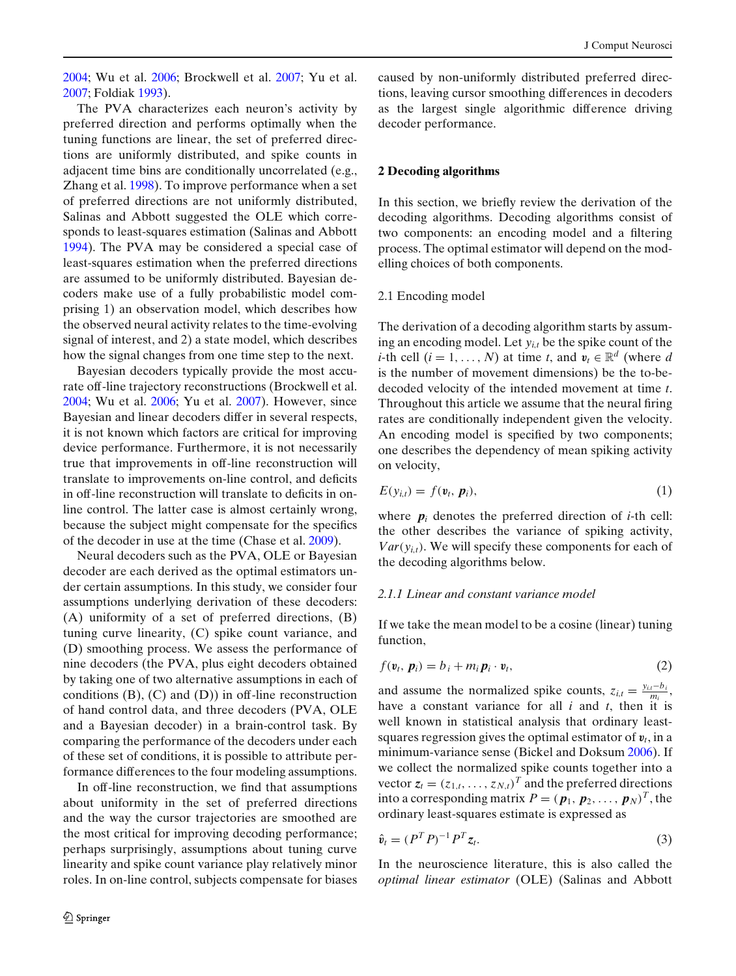<span id="page-1-0"></span>[2004](#page-13-0); Wu et al[.](#page-14-0) [2006;](#page-14-0) Brockwell et al[.](#page-13-0) [2007](#page-13-0); Yu et al[.](#page-14-0) [2007](#page-14-0); Foldia[k](#page-13-0) [1993\)](#page-13-0).

The PVA characterizes each neuron's activity by preferred direction and performs optimally when the tuning functions are linear, the set of preferred directions are uniformly distributed, and spike counts in adjacent time bins are conditionally uncorrelated (e.g., Zhang et al[.](#page-14-0) [1998\)](#page-14-0). To improve performance when a set of preferred directions are not uniformly distributed, Salinas and Abbott suggested the OLE which corresponds to least-squares estimation (Salinas and Abbot[t](#page-14-0) [1994](#page-14-0)). The PVA may be considered a special case of least-squares estimation when the preferred directions are assumed to be uniformly distributed. Bayesian decoders make use of a fully probabilistic model comprising 1) an observation model, which describes how the observed neural activity relates to the time-evolving signal of interest, and 2) a state model, which describes how the signal changes from one time step to the next.

Bayesian decoders typically provide the most accurate off-line trajectory reconstructions (Brockwell et al[.](#page-13-0) [2004](#page-13-0); Wu et al[.](#page-14-0) [2006](#page-14-0); Yu et al[.](#page-14-0) [2007](#page-14-0)). However, since Bayesian and linear decoders differ in several respects, it is not known which factors are critical for improving device performance. Furthermore, it is not necessarily true that improvements in off-line reconstruction will translate to improvements on-line control, and deficits in off-line reconstruction will translate to deficits in online control. The latter case is almost certainly wrong, because the subject might compensate for the specifics of the decoder in use at the time (Chase et al[.](#page-13-0) [2009\)](#page-13-0).

Neural decoders such as the PVA, OLE or Bayesian decoder are each derived as the optimal estimators under certain assumptions. In this study, we consider four assumptions underlying derivation of these decoders: (A) uniformity of a set of preferred directions, (B) tuning curve linearity, (C) spike count variance, and (D) smoothing process. We assess the performance of nine decoders (the PVA, plus eight decoders obtained by taking one of two alternative assumptions in each of conditions  $(B)$ ,  $(C)$  and  $(D)$ ) in off-line reconstruction of hand control data, and three decoders (PVA, OLE and a Bayesian decoder) in a brain-control task. By comparing the performance of the decoders under each of these set of conditions, it is possible to attribute performance differences to the four modeling assumptions.

In off-line reconstruction, we find that assumptions about uniformity in the set of preferred directions and the way the cursor trajectories are smoothed are the most critical for improving decoding performance; perhaps surprisingly, assumptions about tuning curve linearity and spike count variance play relatively minor roles. In on-line control, subjects compensate for biases caused by non-uniformly distributed preferred directions, leaving cursor smoothing differences in decoders as the largest single algorithmic difference driving decoder performance.

#### **2 Decoding algorithms**

In this section, we briefly review the derivation of the decoding algorithms. Decoding algorithms consist of two components: an encoding model and a filtering process. The optimal estimator will depend on the modelling choices of both components.

## 2.1 Encoding model

The derivation of a decoding algorithm starts by assuming an encoding model. Let *yi*,*<sup>t</sup>* be the spike count of the *i*-th cell  $(i = 1, ..., N)$  at time *t*, and  $v_t \in \mathbb{R}^d$  (where *d* is the number of movement dimensions) be the to-bedecoded velocity of the intended movement at time *t*. Throughout this article we assume that the neural firing rates are conditionally independent given the velocity. An encoding model is specified by two components; one describes the dependency of mean spiking activity on velocity,

$$
E(y_{i,t}) = f(\mathbf{v}_t, \, \mathbf{p}_i), \tag{1}
$$

where  $p_i$  denotes the preferred direction of *i*-th cell: the other describes the variance of spiking activity,  $Var(y_{i,t})$ . We will specify these components for each of the decoding algorithms below.

#### *2.1.1 Linear and constant variance model*

If we take the mean model to be a cosine (linear) tuning function,

$$
f(\mathbf{v}_t, \, \mathbf{p}_i) = b_i + m_i \, \mathbf{p}_i \cdot \mathbf{v}_t,\tag{2}
$$

and assume the normalized spike counts,  $z_{i,t} = \frac{y_{i,t} - b_i}{m_i}$ , have a constant variance for all *i* and *t*, then it is well known in statistical analysis that ordinary leastsquares regression gives the optimal estimator of  $v_t$ , in a minimum-variance sense (Bickel and Doksu[m](#page-13-0) [2006](#page-13-0)). If we collect the normalized spike counts together into a vector  $z_t = (z_{1,t}, \ldots, z_{N,t})^T$  and the preferred directions into a corresponding matrix  $P = (p_1, p_2, \ldots, p_N)^T$ , the ordinary least-squares estimate is expressed as

$$
\hat{\mathbf{v}}_t = (P^T P)^{-1} P^T \mathbf{z}_t. \tag{3}
$$

In the neuroscience literature, this is also called the *optimal linear estimator* (OLE) (Salinas and Abbot[t](#page-14-0)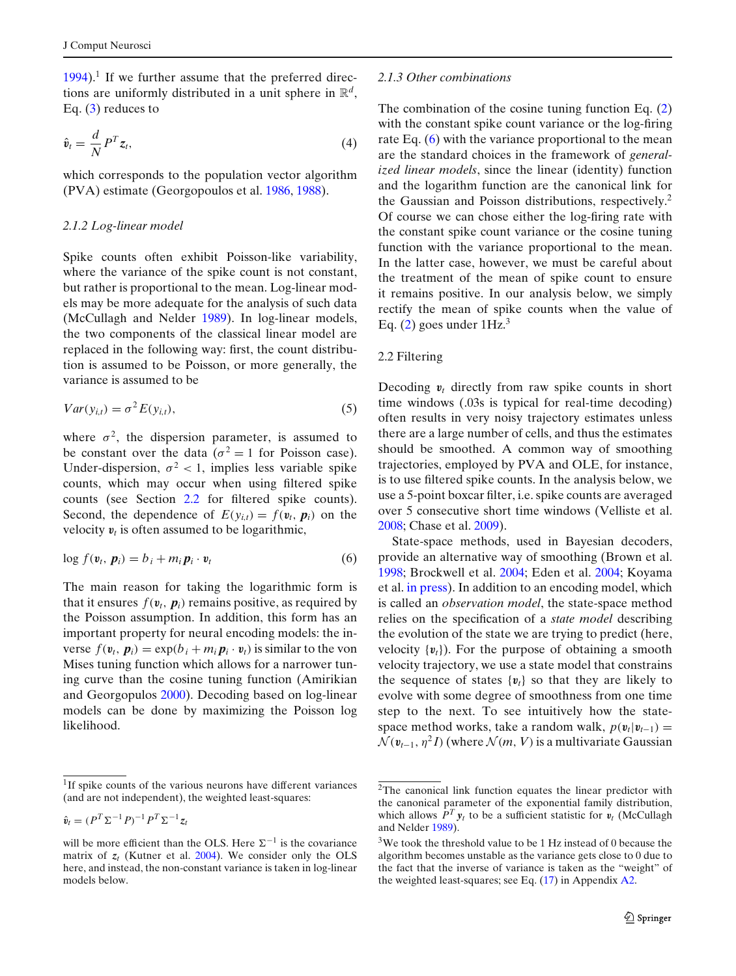<span id="page-2-0"></span> $1994$ ).<sup>1</sup> If we further assume that the preferred directions are uniformly distributed in a unit sphere in R*<sup>d</sup>*, Eq.  $(3)$  reduces to

$$
\hat{\mathbf{v}}_t = \frac{d}{N} P^T \mathbf{z}_t,\tag{4}
$$

which corresponds to the population vector algorithm (PVA) estimate (Georgopoulos et al[.](#page-13-0) [1986](#page-13-0), [1988](#page-13-0)).

## *2.1.2 Log-linear model*

Spike counts often exhibit Poisson-like variability, where the variance of the spike count is not constant, but rather is proportional to the mean. Log-linear models may be more adequate for the analysis of such data (McCullagh and Nelde[r](#page-14-0) [1989](#page-14-0)). In log-linear models, the two components of the classical linear model are replaced in the following way: first, the count distribution is assumed to be Poisson, or more generally, the variance is assumed to be

$$
Var(y_{i,t}) = \sigma^2 E(y_{i,t}),
$$
\n(5)

where  $\sigma^2$ , the dispersion parameter, is assumed to be constant over the data ( $\sigma^2 = 1$  for Poisson case). Under-dispersion,  $\sigma^2$  < 1, implies less variable spike counts, which may occur when using filtered spike counts (see Section 2.2 for filtered spike counts). Second, the dependence of  $E(y_{i,t}) = f(\mathbf{v}_t, \mathbf{p}_i)$  on the velocity  $v_t$  is often assumed to be logarithmic,

$$
\log f(\mathbf{v}_t, \, \mathbf{p}_i) = b_i + m_i \, \mathbf{p}_i \cdot \mathbf{v}_t \tag{6}
$$

The main reason for taking the logarithmic form is that it ensures  $f(\mathbf{v}_t, \mathbf{p}_i)$  remains positive, as required by the Poisson assumption. In addition, this form has an important property for neural encoding models: the inverse  $f(\mathbf{v}_t, \mathbf{p}_i) = \exp(b_i + m_i \mathbf{p}_i \cdot \mathbf{v}_t)$  is similar to the von Mises tuning function which allows for a narrower tuning curve than the cosine tuning function (Amirikian and Georgopulo[s](#page-13-0) [2000](#page-13-0)). Decoding based on log-linear models can be done by maximizing the Poisson log likelihood.

$$
\hat{\mathbf{v}}_t = (P^T \Sigma^{-1} P)^{-1} P^T \Sigma^{-1} \mathbf{z}_t
$$

#### *2.1.3 Other combinations*

The combination of the cosine tuning function Eq. [\(2\)](#page-1-0) with the constant spike count variance or the log-firing rate Eq. (6) with the variance proportional to the mean are the standard choices in the framework of *generalized linear models*, since the linear (identity) function and the logarithm function are the canonical link for the Gaussian and Poisson distributions, respectively.<sup>2</sup> Of course we can chose either the log-firing rate with the constant spike count variance or the cosine tuning function with the variance proportional to the mean. In the latter case, however, we must be careful about the treatment of the mean of spike count to ensure it remains positive. In our analysis below, we simply rectify the mean of spike counts when the value of Eq.  $(2)$  goes under  $1Hz<sup>3</sup>$ 

# 2.2 Filtering

Decoding  $v_t$  directly from raw spike counts in short time windows (.03s is typical for real-time decoding) often results in very noisy trajectory estimates unless there are a large number of cells, and thus the estimates should be smoothed. A common way of smoothing trajectories, employed by PVA and OLE, for instance, is to use filtered spike counts. In the analysis below, we use a 5-point boxcar filter, i.e. spike counts are averaged over 5 consecutive short time windows (Velliste et al[.](#page-14-0) [2008](#page-14-0); Chase et al[.](#page-13-0) [2009\)](#page-13-0).

State-space methods, used in Bayesian decoders, provide an alternative way of smoothing (Brown et al[.](#page-13-0) [1998](#page-13-0); Brockwell et al[.](#page-13-0) [2004;](#page-13-0) Eden et al[.](#page-13-0) [2004;](#page-13-0) Koyama et al[.](#page-13-0) [in press](#page-13-0)). In addition to an encoding model, which is called an *observation model*, the state-space method relies on the specification of a *state model* describing the evolution of the state we are trying to predict (here, velocity  $\{v_t\}$ ). For the purpose of obtaining a smooth velocity trajectory, we use a state model that constrains the sequence of states  $\{v_t\}$  so that they are likely to evolve with some degree of smoothness from one time step to the next. To see intuitively how the statespace method works, take a random walk,  $p(v_t|v_{t-1}) =$  $\mathcal{N}(v_{t-1}, \eta^2 I)$  (where  $\mathcal{N}(m, V)$  is a multivariate Gaussian

<sup>&</sup>lt;sup>1</sup>If spike counts of the various neurons have different variances (and are not independent), the weighted least-squares:

will be more efficient than the OLS. Here  $\Sigma^{-1}$  is the covariance matrix of  $z_t$  (Kutner et al[.](#page-13-0) [2004](#page-13-0)). We consider only the OLS here, and instead, the non-constant variance is taken in log-linear models below.

<sup>2</sup>The canonical link function equates the linear predictor with the canonical parameter of the exponential family distribution, which allows  $\hat{P}^T y_t$  to be a sufficient statistic for  $v_t$  (McCullagh and Nelde[r](#page-14-0) [1989\)](#page-14-0).

<sup>3</sup>We took the threshold value to be 1 Hz instead of 0 because the algorithm becomes unstable as the variance gets close to 0 due to the fact that the inverse of variance is taken as the "weight" of the weighted least-squares; see Eq. [\(17\)](#page-12-0) in Appendix [A2.](#page-12-0)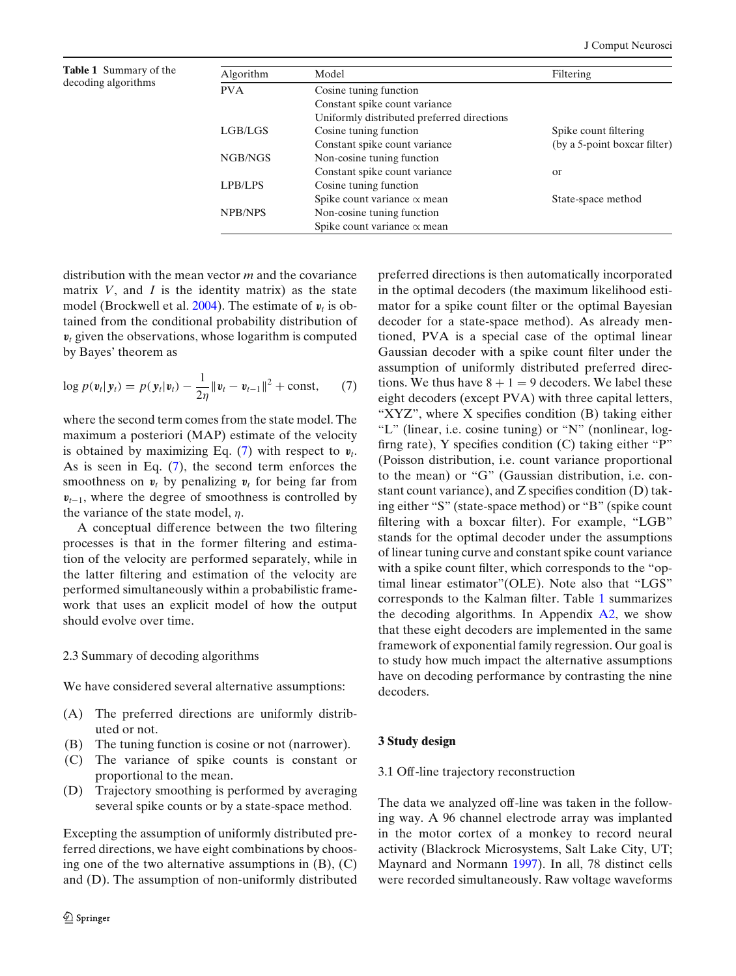<span id="page-3-0"></span>**Table 1** Summary of the

| Algorithm      | Model                                      | Filtering                    |  |  |
|----------------|--------------------------------------------|------------------------------|--|--|
| <b>PVA</b>     | Cosine tuning function                     |                              |  |  |
|                | Constant spike count variance              |                              |  |  |
|                | Uniformly distributed preferred directions |                              |  |  |
| LGB/LGS        | Cosine tuning function                     | Spike count filtering        |  |  |
|                | Constant spike count variance              | (by a 5-point boxcar filter) |  |  |
| NGB/NGS        | Non-cosine tuning function                 |                              |  |  |
|                | Constant spike count variance              | <sub>or</sub>                |  |  |
| LPB/LPS        | Cosine tuning function                     |                              |  |  |
|                | Spike count variance $\alpha$ mean         | State-space method           |  |  |
| <b>NPB/NPS</b> | Non-cosine tuning function                 |                              |  |  |
|                | Spike count variance $\alpha$ mean         |                              |  |  |
|                |                                            |                              |  |  |

distribution with the mean vector *m* and the covariance matrix  $V$ , and  $I$  is the identity matrix) as the state model (Brockwell et al[.](#page-13-0) [2004\)](#page-13-0). The estimate of  $v_t$  is obtained from the conditional probability distribution of  $v_t$  given the observations, whose logarithm is computed by Bayes' theorem as

$$
\log p(\mathbf{v}_t|\mathbf{y}_t) = p(\mathbf{y}_t|\mathbf{v}_t) - \frac{1}{2\eta} \|\mathbf{v}_t - \mathbf{v}_{t-1}\|^2 + \text{const}, \qquad (7)
$$

where the second term comes from the state model. The maximum a posteriori (MAP) estimate of the velocity is obtained by maximizing Eq.  $(7)$  with respect to  $v_t$ . As is seen in Eq. (7), the second term enforces the smoothness on  $v_t$  by penalizing  $v_t$  for being far from  $v_{t-1}$ , where the degree of smoothness is controlled by the variance of the state model,  $\eta$ .

A conceptual difference between the two filtering processes is that in the former filtering and estimation of the velocity are performed separately, while in the latter filtering and estimation of the velocity are performed simultaneously within a probabilistic framework that uses an explicit model of how the output should evolve over time.

#### 2.3 Summary of decoding algorithms

We have considered several alternative assumptions:

- (A) The preferred directions are uniformly distributed or not.
- (B) The tuning function is cosine or not (narrower).
- (C) The variance of spike counts is constant or proportional to the mean.
- (D) Trajectory smoothing is performed by averaging several spike counts or by a state-space method.

Excepting the assumption of uniformly distributed preferred directions, we have eight combinations by choosing one of the two alternative assumptions in  $(B)$ ,  $(C)$ and (D). The assumption of non-uniformly distributed

preferred directions is then automatically incorporated in the optimal decoders (the maximum likelihood estimator for a spike count filter or the optimal Bayesian decoder for a state-space method). As already mentioned, PVA is a special case of the optimal linear Gaussian decoder with a spike count filter under the assumption of uniformly distributed preferred directions. We thus have  $8 + 1 = 9$  decoders. We label these eight decoders (except PVA) with three capital letters, "XYZ", where X specifies condition (B) taking either "L" (linear, i.e. cosine tuning) or "N" (nonlinear, logfirng rate), Y specifies condition (C) taking either "P" (Poisson distribution, i.e. count variance proportional to the mean) or "G" (Gaussian distribution, i.e. constant count variance), and Z specifies condition (D) taking either "S" (state-space method) or "B" (spike count filtering with a boxcar filter). For example, "LGB" stands for the optimal decoder under the assumptions of linear tuning curve and constant spike count variance with a spike count filter, which corresponds to the "optimal linear estimator"(OLE). Note also that "LGS" corresponds to the Kalman filter. Table 1 summarizes the decoding algorithms. In Appendix [A2,](#page-12-0) we show that these eight decoders are implemented in the same framework of exponential family regression. Our goal is to study how much impact the alternative assumptions have on decoding performance by contrasting the nine decoders.

# **3 Study design**

## 3.1 Off-line trajectory reconstruction

The data we analyzed off-line was taken in the following way. A 96 channel electrode array was implanted in the motor cortex of a monkey to record neural activity (Blackrock Microsystems, Salt Lake City, UT; Maynard and Normann [1997](#page-13-0)). In all, 78 distinct cells were recorded simultaneously. Raw voltage waveforms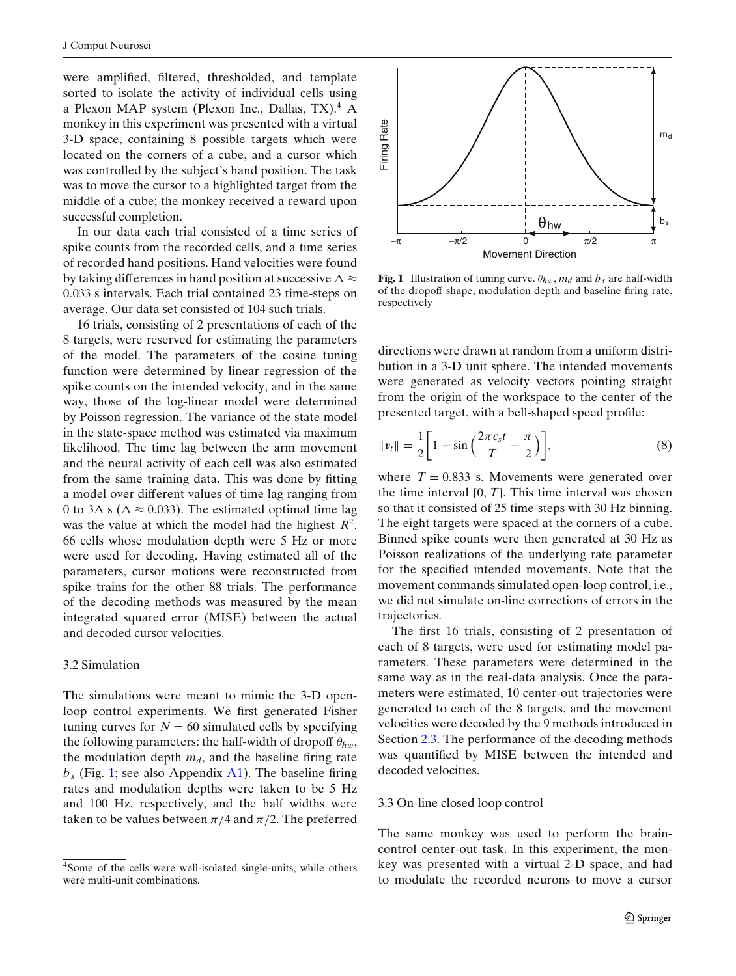were amplified, filtered, thresholded, and template sorted to isolate the activity of individual cells using a Plexon MAP system (Plexon Inc., Dallas, TX).<sup>4</sup> A monkey in this experiment was presented with a virtual 3-D space, containing 8 possible targets which were located on the corners of a cube, and a cursor which was controlled by the subject's hand position. The task was to move the cursor to a highlighted target from the middle of a cube; the monkey received a reward upon successful completion.

In our data each trial consisted of a time series of spike counts from the recorded cells, and a time series of recorded hand positions. Hand velocities were found by taking differences in hand position at successive  $\Delta \approx$ 0.033 s intervals. Each trial contained 23 time-steps on average. Our data set consisted of 104 such trials.

16 trials, consisting of 2 presentations of each of the 8 targets, were reserved for estimating the parameters of the model. The parameters of the cosine tuning function were determined by linear regression of the spike counts on the intended velocity, and in the same way, those of the log-linear model were determined by Poisson regression. The variance of the state model in the state-space method was estimated via maximum likelihood. The time lag between the arm movement and the neural activity of each cell was also estimated from the same training data. This was done by fitting a model over different values of time lag ranging from 0 to 3 $\Delta$  s ( $\Delta \approx 0.033$ ). The estimated optimal time lag was the value at which the model had the highest *R*<sup>2</sup>. 66 cells whose modulation depth were 5 Hz or more were used for decoding. Having estimated all of the parameters, cursor motions were reconstructed from spike trains for the other 88 trials. The performance of the decoding methods was measured by the mean integrated squared error (MISE) between the actual and decoded cursor velocities.

## 3.2 Simulation

The simulations were meant to mimic the 3-D openloop control experiments. We first generated Fisher tuning curves for  $N = 60$  simulated cells by specifying the following parameters: the half-width of dropoff  $\theta_{hw}$ , the modulation depth  $m_d$ , and the baseline firing rate  $b_s$  (Fig. 1; see also Appendix [A1\)](#page-12-0). The baseline firing rates and modulation depths were taken to be 5 Hz and 100 Hz, respectively, and the half widths were taken to be values between  $\pi/4$  and  $\pi/2$ . The preferred



**Fig. 1** Illustration of tuning curve.  $\theta_{hw}$ ,  $m_d$  and  $b_s$  are half-width of the dropoff shape, modulation depth and baseline firing rate, respectively

directions were drawn at random from a uniform distribution in a 3-D unit sphere. The intended movements were generated as velocity vectors pointing straight from the origin of the workspace to the center of the presented target, with a bell-shaped speed profile:

$$
\|\mathbf{v}_t\| = \frac{1}{2} \bigg[ 1 + \sin\left(\frac{2\pi c_s t}{T} - \frac{\pi}{2}\right) \bigg],\tag{8}
$$

where  $T = 0.833$  s. Movements were generated over the time interval  $[0, T]$ . This time interval was chosen so that it consisted of 25 time-steps with 30 Hz binning. The eight targets were spaced at the corners of a cube. Binned spike counts were then generated at 30 Hz as Poisson realizations of the underlying rate parameter for the specified intended movements. Note that the movement commands simulated open-loop control, i.e., we did not simulate on-line corrections of errors in the trajectories.

The first 16 trials, consisting of 2 presentation of each of 8 targets, were used for estimating model parameters. These parameters were determined in the same way as in the real-data analysis. Once the parameters were estimated, 10 center-out trajectories were generated to each of the 8 targets, and the movement velocities were decoded by the 9 methods introduced in Section [2.3.](#page-3-0) The performance of the decoding methods was quantified by MISE between the intended and decoded velocities.

## 3.3 On-line closed loop control

The same monkey was used to perform the braincontrol center-out task. In this experiment, the monkey was presented with a virtual 2-D space, and had to modulate the recorded neurons to move a cursor

<sup>4</sup>Some of the cells were well-isolated single-units, while others were multi-unit combinations.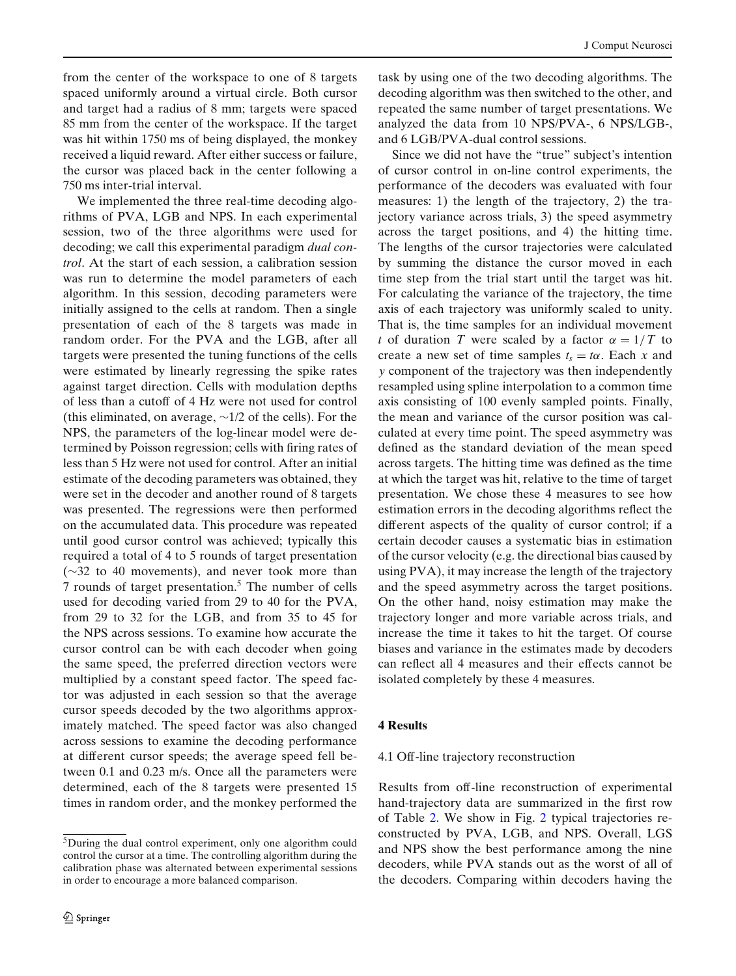from the center of the workspace to one of 8 targets spaced uniformly around a virtual circle. Both cursor and target had a radius of 8 mm; targets were spaced 85 mm from the center of the workspace. If the target was hit within 1750 ms of being displayed, the monkey received a liquid reward. After either success or failure, the cursor was placed back in the center following a 750 ms inter-trial interval.

We implemented the three real-time decoding algorithms of PVA, LGB and NPS. In each experimental session, two of the three algorithms were used for decoding; we call this experimental paradigm *dual control*. At the start of each session, a calibration session was run to determine the model parameters of each algorithm. In this session, decoding parameters were initially assigned to the cells at random. Then a single presentation of each of the 8 targets was made in random order. For the PVA and the LGB, after all targets were presented the tuning functions of the cells were estimated by linearly regressing the spike rates against target direction. Cells with modulation depths of less than a cutoff of 4 Hz were not used for control (this eliminated, on average, ∼1/2 of the cells). For the NPS, the parameters of the log-linear model were determined by Poisson regression; cells with firing rates of less than 5 Hz were not used for control. After an initial estimate of the decoding parameters was obtained, they were set in the decoder and another round of 8 targets was presented. The regressions were then performed on the accumulated data. This procedure was repeated until good cursor control was achieved; typically this required a total of 4 to 5 rounds of target presentation (∼32 to 40 movements), and never took more than 7 rounds of target presentation.5 The number of cells used for decoding varied from 29 to 40 for the PVA, from 29 to 32 for the LGB, and from 35 to 45 for the NPS across sessions. To examine how accurate the cursor control can be with each decoder when going the same speed, the preferred direction vectors were multiplied by a constant speed factor. The speed factor was adjusted in each session so that the average cursor speeds decoded by the two algorithms approximately matched. The speed factor was also changed across sessions to examine the decoding performance at different cursor speeds; the average speed fell between 0.1 and 0.23 m/s. Once all the parameters were determined, each of the 8 targets were presented 15 times in random order, and the monkey performed the task by using one of the two decoding algorithms. The decoding algorithm was then switched to the other, and repeated the same number of target presentations. We analyzed the data from 10 NPS/PVA-, 6 NPS/LGB-, and 6 LGB/PVA-dual control sessions.

Since we did not have the "true" subject's intention of cursor control in on-line control experiments, the performance of the decoders was evaluated with four measures: 1) the length of the trajectory, 2) the trajectory variance across trials, 3) the speed asymmetry across the target positions, and 4) the hitting time. The lengths of the cursor trajectories were calculated by summing the distance the cursor moved in each time step from the trial start until the target was hit. For calculating the variance of the trajectory, the time axis of each trajectory was uniformly scaled to unity. That is, the time samples for an individual movement *t* of duration *T* were scaled by a factor  $\alpha = 1/T$  to create a new set of time samples  $t_s = t\alpha$ . Each x and *y* component of the trajectory was then independently resampled using spline interpolation to a common time axis consisting of 100 evenly sampled points. Finally, the mean and variance of the cursor position was calculated at every time point. The speed asymmetry was defined as the standard deviation of the mean speed across targets. The hitting time was defined as the time at which the target was hit, relative to the time of target presentation. We chose these 4 measures to see how estimation errors in the decoding algorithms reflect the different aspects of the quality of cursor control; if a certain decoder causes a systematic bias in estimation of the cursor velocity (e.g. the directional bias caused by using PVA), it may increase the length of the trajectory and the speed asymmetry across the target positions. On the other hand, noisy estimation may make the trajectory longer and more variable across trials, and increase the time it takes to hit the target. Of course biases and variance in the estimates made by decoders can reflect all 4 measures and their effects cannot be isolated completely by these 4 measures.

# **4 Results**

#### 4.1 Off-line trajectory reconstruction

Results from off-line reconstruction of experimental hand-trajectory data are summarized in the first row of Table [2.](#page-6-0) We show in Fig. [2](#page-6-0) typical trajectories reconstructed by PVA, LGB, and NPS. Overall, LGS and NPS show the best performance among the nine decoders, while PVA stands out as the worst of all of the decoders. Comparing within decoders having the

<sup>5</sup>During the dual control experiment, only one algorithm could control the cursor at a time. The controlling algorithm during the calibration phase was alternated between experimental sessions in order to encourage a more balanced comparison.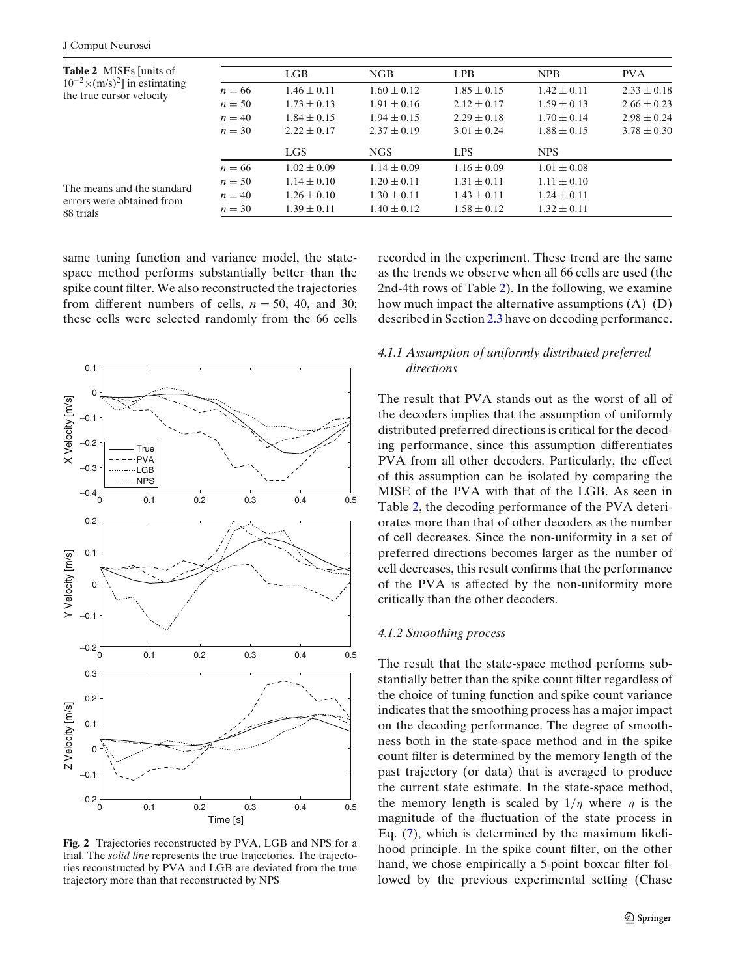<span id="page-6-0"></span>

| <b>Table 2</b> MISEs [units of<br>$10^{-2} \times (m/s)^2$ in estimating<br>the true cursor velocity<br>The means and the standard<br>errors were obtained from<br>88 trials |          | LGB             | NGB             | <b>LPB</b>      | <b>NPB</b>      | <b>PVA</b>      |
|------------------------------------------------------------------------------------------------------------------------------------------------------------------------------|----------|-----------------|-----------------|-----------------|-----------------|-----------------|
|                                                                                                                                                                              | $n = 66$ | $1.46 \pm 0.11$ | $1.60 \pm 0.12$ | $1.85 \pm 0.15$ | $1.42 \pm 0.11$ | $2.33 \pm 0.18$ |
|                                                                                                                                                                              | $n = 50$ | $1.73 \pm 0.13$ | $1.91 \pm 0.16$ | $2.12 \pm 0.17$ | $1.59 \pm 0.13$ | $2.66 \pm 0.23$ |
|                                                                                                                                                                              | $n = 40$ | $1.84 \pm 0.15$ | $1.94 \pm 0.15$ | $2.29 \pm 0.18$ | $1.70 \pm 0.14$ | $2.98 \pm 0.24$ |
|                                                                                                                                                                              | $n = 30$ | $2.22 \pm 0.17$ | $2.37 \pm 0.19$ | $3.01 \pm 0.24$ | $1.88 \pm 0.15$ | $3.78 \pm 0.30$ |
|                                                                                                                                                                              |          | <b>LGS</b>      | <b>NGS</b>      | <b>LPS</b>      | <b>NPS</b>      |                 |
|                                                                                                                                                                              | $n = 66$ | $1.02 \pm 0.09$ | $1.14 \pm 0.09$ | $1.16 \pm 0.09$ | $1.01 \pm 0.08$ |                 |
|                                                                                                                                                                              | $n = 50$ | $1.14 \pm 0.10$ | $1.20 \pm 0.11$ | $1.31 \pm 0.11$ | $1.11 \pm 0.10$ |                 |
|                                                                                                                                                                              | $n = 40$ | $1.26 \pm 0.10$ | $1.30 \pm 0.11$ | $1.43 \pm 0.11$ | $1.24 \pm 0.11$ |                 |
|                                                                                                                                                                              | $n = 30$ | $1.39 \pm 0.11$ | $1.40 \pm 0.12$ | $1.58 \pm 0.12$ | $1.32 \pm 0.11$ |                 |
|                                                                                                                                                                              |          |                 |                 |                 |                 |                 |

same tuning function and variance model, the statespace method performs substantially better than the spike count filter. We also reconstructed the trajectories from different numbers of cells,  $n = 50$ , 40, and 30; these cells were selected randomly from the 66 cells



**Fig. 2** Trajectories reconstructed by PVA, LGB and NPS for a trial. The *solid line* represents the true trajectories. The trajectories reconstructed by PVA and LGB are deviated from the true trajectory more than that reconstructed by NPS

recorded in the experiment. These trend are the same as the trends we observe when all 66 cells are used (the 2nd-4th rows of Table 2). In the following, we examine how much impact the alternative assumptions (A)–(D) described in Section [2.3](#page-3-0) have on decoding performance.

# *4.1.1 Assumption of uniformly distributed preferred directions*

The result that PVA stands out as the worst of all of the decoders implies that the assumption of uniformly distributed preferred directions is critical for the decoding performance, since this assumption differentiates PVA from all other decoders. Particularly, the effect of this assumption can be isolated by comparing the MISE of the PVA with that of the LGB. As seen in Table 2, the decoding performance of the PVA deteriorates more than that of other decoders as the number of cell decreases. Since the non-uniformity in a set of preferred directions becomes larger as the number of cell decreases, this result confirms that the performance of the PVA is affected by the non-uniformity more critically than the other decoders.

# *4.1.2 Smoothing process*

The result that the state-space method performs substantially better than the spike count filter regardless of the choice of tuning function and spike count variance indicates that the smoothing process has a major impact on the decoding performance. The degree of smoothness both in the state-space method and in the spike count filter is determined by the memory length of the past trajectory (or data) that is averaged to produce the current state estimate. In the state-space method, the memory length is scaled by  $1/\eta$  where  $\eta$  is the magnitude of the fluctuation of the state process in Eq. [\(7\)](#page-3-0), which is determined by the maximum likelihood principle. In the spike count filter, on the other hand, we chose empirically a 5-point boxcar filter followed by the previous experimental setting (Chase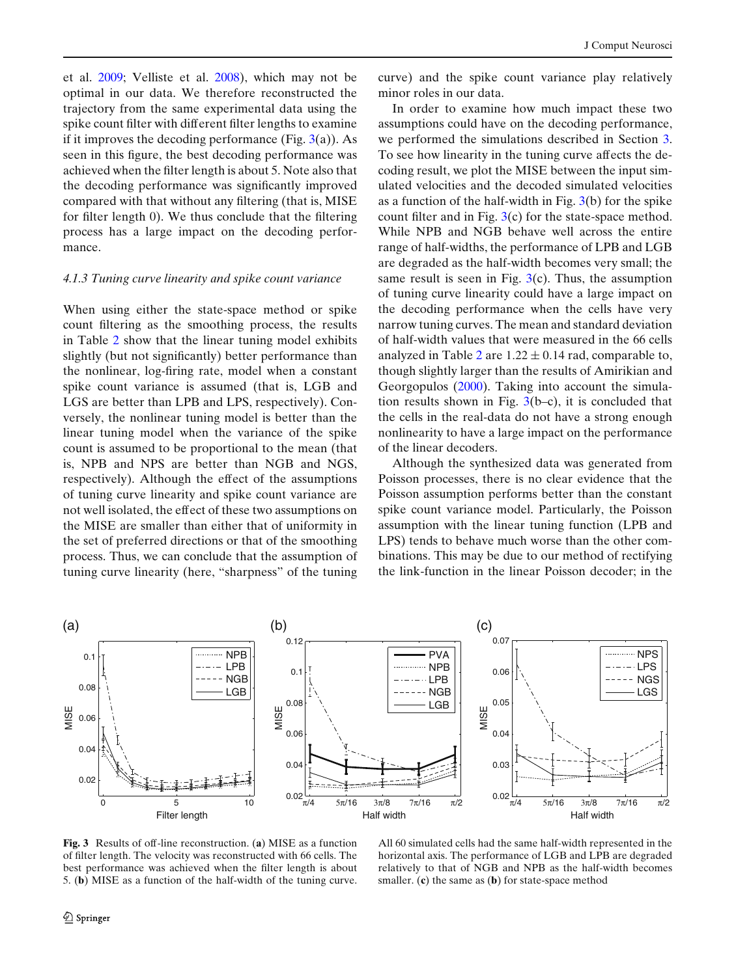<span id="page-7-0"></span>et al[.](#page-13-0) [2009;](#page-13-0) Velliste et al[.](#page-14-0) [2008\)](#page-14-0), which may not be optimal in our data. We therefore reconstructed the trajectory from the same experimental data using the spike count filter with different filter lengths to examine if it improves the decoding performance (Fig.  $3(a)$ ). As seen in this figure, the best decoding performance was achieved when the filter length is about 5. Note also that the decoding performance was significantly improved compared with that without any filtering (that is, MISE for filter length 0). We thus conclude that the filtering process has a large impact on the decoding performance.

## *4.1.3 Tuning curve linearity and spike count variance*

When using either the state-space method or spike count filtering as the smoothing process, the results in Table [2](#page-6-0) show that the linear tuning model exhibits slightly (but not significantly) better performance than the nonlinear, log-firing rate, model when a constant spike count variance is assumed (that is, LGB and LGS are better than LPB and LPS, respectively). Conversely, the nonlinear tuning model is better than the linear tuning model when the variance of the spike count is assumed to be proportional to the mean (that is, NPB and NPS are better than NGB and NGS, respectively). Although the effect of the assumptions of tuning curve linearity and spike count variance are not well isolated, the effect of these two assumptions on the MISE are smaller than either that of uniformity in the set of preferred directions or that of the smoothing process. Thus, we can conclude that the assumption of tuning curve linearity (here, "sharpness" of the tuning curve) and the spike count variance play relatively minor roles in our data.

In order to examine how much impact these two assumptions could have on the decoding performance, we performed the simulations described in Section [3.](#page-3-0) To see how linearity in the tuning curve affects the decoding result, we plot the MISE between the input simulated velocities and the decoded simulated velocities as a function of the half-width in Fig. 3(b) for the spike count filter and in Fig. 3(c) for the state-space method. While NPB and NGB behave well across the entire range of half-widths, the performance of LPB and LGB are degraded as the half-width becomes very small; the same result is seen in Fig.  $3(c)$ . Thus, the assumption of tuning curve linearity could have a large impact on the decoding performance when the cells have very narrow tuning curves. The mean and standard deviation of half-width values that were measured in the 66 cells analyzed in Table [2](#page-6-0) are  $1.22 \pm 0.14$  rad, comparable to, though slightly larger than the results of Amirikian and Georgopulo[s](#page-13-0) [\(2000\)](#page-13-0). Taking into account the simulation results shown in Fig.  $3(b-c)$ , it is concluded that the cells in the real-data do not have a strong enough nonlinearity to have a large impact on the performance of the linear decoders.

Although the synthesized data was generated from Poisson processes, there is no clear evidence that the Poisson assumption performs better than the constant spike count variance model. Particularly, the Poisson assumption with the linear tuning function (LPB and LPS) tends to behave much worse than the other combinations. This may be due to our method of rectifying the link-function in the linear Poisson decoder; in the



**Fig. 3** Results of off-line reconstruction. (**a**) MISE as a function of filter length. The velocity was reconstructed with 66 cells. The best performance was achieved when the filter length is about 5. (**b**) MISE as a function of the half-width of the tuning curve.

All 60 simulated cells had the same half-width represented in the horizontal axis. The performance of LGB and LPB are degraded relatively to that of NGB and NPB as the half-width becomes smaller. (**c**) the same as (**b**) for state-space method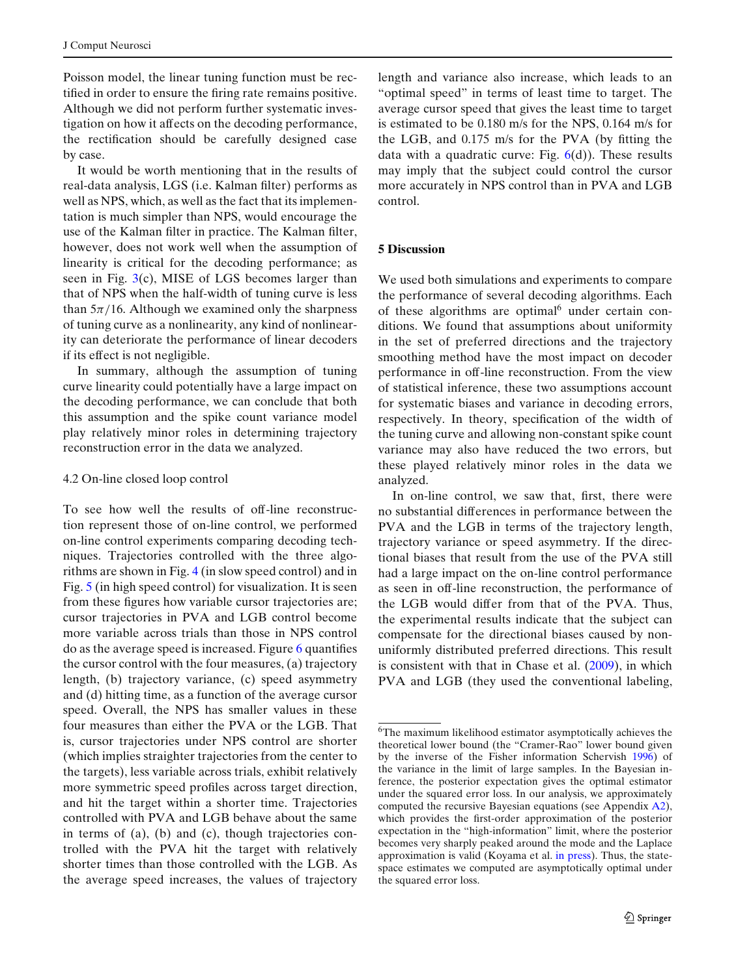Poisson model, the linear tuning function must be rectified in order to ensure the firing rate remains positive. Although we did not perform further systematic investigation on how it affects on the decoding performance, the rectification should be carefully designed case by case.

It would be worth mentioning that in the results of real-data analysis, LGS (i.e. Kalman filter) performs as well as NPS, which, as well as the fact that its implementation is much simpler than NPS, would encourage the use of the Kalman filter in practice. The Kalman filter, however, does not work well when the assumption of linearity is critical for the decoding performance; as seen in Fig.  $3(c)$  $3(c)$ , MISE of LGS becomes larger than that of NPS when the half-width of tuning curve is less than  $5\pi/16$ . Although we examined only the sharpness of tuning curve as a nonlinearity, any kind of nonlinearity can deteriorate the performance of linear decoders if its effect is not negligible.

In summary, although the assumption of tuning curve linearity could potentially have a large impact on the decoding performance, we can conclude that both this assumption and the spike count variance model play relatively minor roles in determining trajectory reconstruction error in the data we analyzed.

# 4.2 On-line closed loop control

To see how well the results of off-line reconstruction represent those of on-line control, we performed on-line control experiments comparing decoding techniques. Trajectories controlled with the three algorithms are shown in Fig. [4](#page-9-0) (in slow speed control) and in Fig. [5](#page-10-0) (in high speed control) for visualization. It is seen from these figures how variable cursor trajectories are; cursor trajectories in PVA and LGB control become more variable across trials than those in NPS control do as the average speed is increased. Figure [6](#page-11-0) quantifies the cursor control with the four measures, (a) trajectory length, (b) trajectory variance, (c) speed asymmetry and (d) hitting time, as a function of the average cursor speed. Overall, the NPS has smaller values in these four measures than either the PVA or the LGB. That is, cursor trajectories under NPS control are shorter (which implies straighter trajectories from the center to the targets), less variable across trials, exhibit relatively more symmetric speed profiles across target direction, and hit the target within a shorter time. Trajectories controlled with PVA and LGB behave about the same in terms of (a), (b) and (c), though trajectories controlled with the PVA hit the target with relatively shorter times than those controlled with the LGB. As the average speed increases, the values of trajectory

length and variance also increase, which leads to an "optimal speed" in terms of least time to target. The average cursor speed that gives the least time to target is estimated to be 0.180 m/s for the NPS, 0.164 m/s for the LGB, and 0.175 m/s for the PVA (by fitting the data with a quadratic curve: Fig.  $6(d)$  $6(d)$ ). These results may imply that the subject could control the cursor more accurately in NPS control than in PVA and LGB control.

# **5 Discussion**

We used both simulations and experiments to compare the performance of several decoding algorithms. Each of these algorithms are optimal<sup> $6$ </sup> under certain conditions. We found that assumptions about uniformity in the set of preferred directions and the trajectory smoothing method have the most impact on decoder performance in off-line reconstruction. From the view of statistical inference, these two assumptions account for systematic biases and variance in decoding errors, respectively. In theory, specification of the width of the tuning curve and allowing non-constant spike count variance may also have reduced the two errors, but these played relatively minor roles in the data we analyzed.

In on-line control, we saw that, first, there were no substantial differences in performance between the PVA and the LGB in terms of the trajectory length, trajectory variance or speed asymmetry. If the directional biases that result from the use of the PVA still had a large impact on the on-line control performance as seen in off-line reconstruction, the performance of the LGB would differ from that of the PVA. Thus, the experimental results indicate that the subject can compensate for the directional biases caused by nonuniformly distributed preferred directions. This result is consistent with that in Chase et al[.](#page-13-0) [\(2009](#page-13-0)), in which PVA and LGB (they used the conventional labeling,

<sup>6</sup>The maximum likelihood estimator asymptotically achieves the theoretical lower bound (the "Cramer-Rao" lower bound given by the inverse of the Fisher information Schervish [1996\)](#page-14-0) of the variance in the limit of large samples. In the Bayesian inference, the posterior expectation gives the optimal estimator under the squared error loss. In our analysis, we approximately computed the recursive Bayesian equations (see Appendix [A2\)](#page-12-0), which provides the first-order approximation of the posterior expectation in the "high-information" limit, where the posterior becomes very sharply peaked around the mode and the Laplace approximation is valid (Koyama et al[.](#page-13-0) [in press](#page-13-0)). Thus, the statespace estimates we computed are asymptotically optimal under the squared error loss.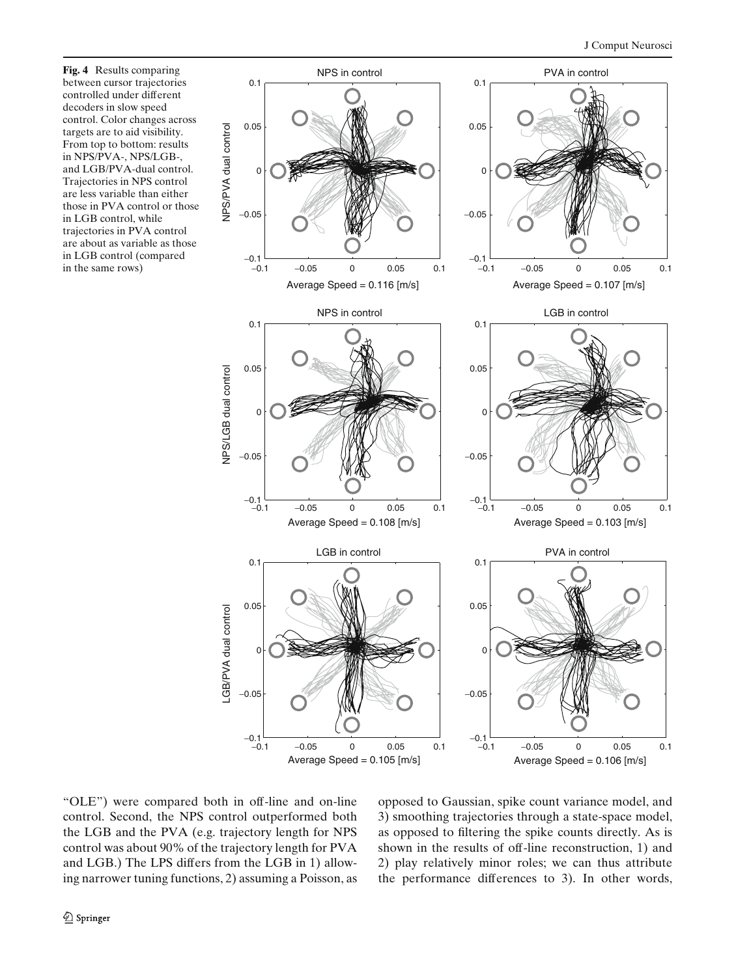**Fig. 4** Results comparing between cursor trajectories controlled under different decoders in slow speed control. Color changes across targets are to aid visibility. From top to bottom: results in NPS/PVA-, NPS/LGB-, and LGB/PVA-dual control. Trajectories in NPS control are less variable than either those in PVA control or those in LGB control, while trajectories in PVA control are about as variable as those in LGB control (compared

<span id="page-9-0"></span>

"OLE") were compared both in off-line and on-line control. Second, the NPS control outperformed both the LGB and the PVA (e.g. trajectory length for NPS control was about 90% of the trajectory length for PVA and LGB.) The LPS differs from the LGB in 1) allowing narrower tuning functions, 2) assuming a Poisson, as opposed to Gaussian, spike count variance model, and 3) smoothing trajectories through a state-space model, as opposed to filtering the spike counts directly. As is shown in the results of off-line reconstruction, 1) and 2) play relatively minor roles; we can thus attribute the performance differences to 3). In other words,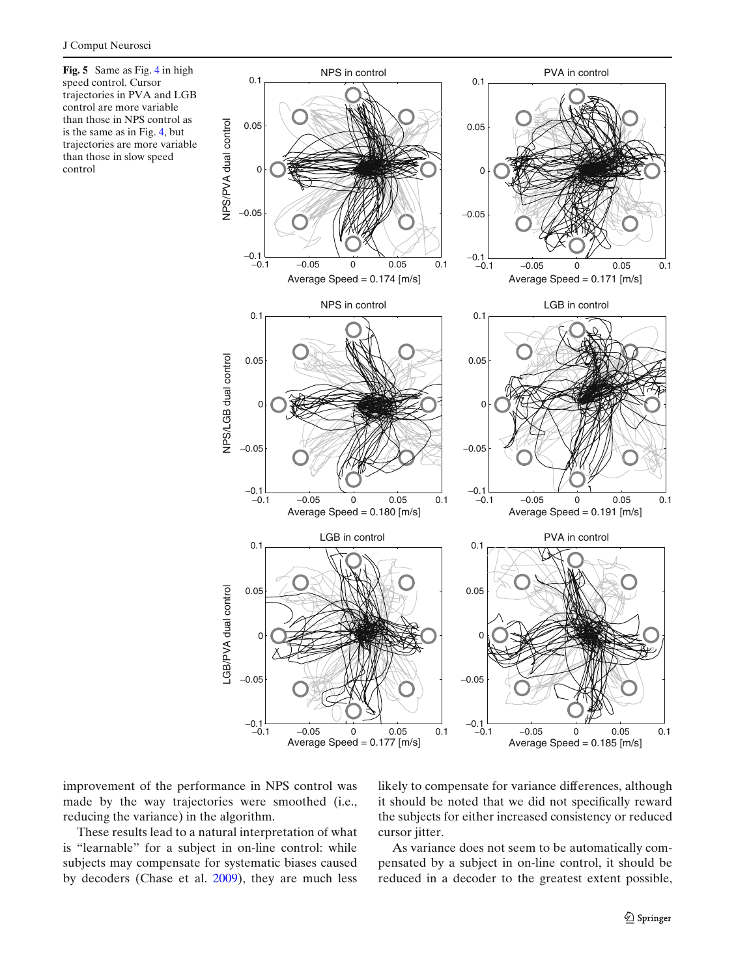<span id="page-10-0"></span>**Fig. 5** Same as Fig. [4](#page-9-0) in high speed control. Cursor trajectories in PVA and LGB control are more variable than those in NPS control as is the same as in Fig. [4,](#page-9-0) but trajectories are more variable than those in slow speed control



improvement of the performance in NPS control was made by the way trajectories were smoothed (i.e., reducing the variance) in the algorithm.

These results lead to a natural interpretation of what is "learnable" for a subject in on-line control: while subjects may compensate for systematic biases caused by decoders (Chase et al[.](#page-13-0) [2009](#page-13-0)), they are much less

likely to compensate for variance differences, although it should be noted that we did not specifically reward the subjects for either increased consistency or reduced cursor jitter.

As variance does not seem to be automatically compensated by a subject in on-line control, it should be reduced in a decoder to the greatest extent possible,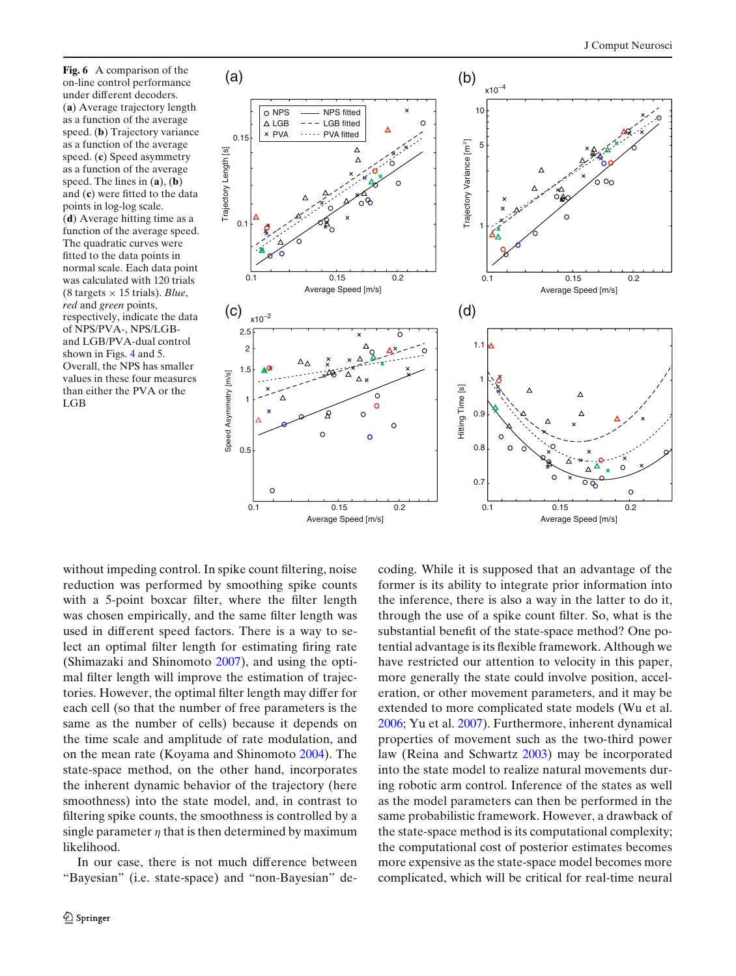<span id="page-11-0"></span>**Fig. 6** A comparison of the on-line control performance under different decoders. (**a**) Average trajectory length as a function of the average speed. (**b**) Trajectory variance as a function of the average speed. (**c**) Speed asymmetry as a function of the average speed. The lines in (**a**), (**b**) and (**c**) were fitted to the data points in log-log scale. (**d**) Average hitting time as a function of the average speed. The quadratic curves were fitted to the data points in normal scale. Each data point was calculated with 120 trials (8 targets  $\times$  15 trials). *Blue*, *red* and *green* points, respectively, indicate the data of NPS/PVA-, NPS/LGBand LGB/PVA-dual control shown in Figs. [4](#page-9-0) and [5.](#page-10-0) Overall, the NPS has smaller values in these four measures than either the PVA or the LGB



without impeding control. In spike count filtering, noise reduction was performed by smoothing spike counts with a 5-point boxcar filter, where the filter length was chosen empirically, and the same filter length was used in different speed factors. There is a way to select an optimal filter length for estimating firing rate (Shimazaki and Shinomot[o](#page-14-0) [2007\)](#page-14-0), and using the optimal filter length will improve the estimation of trajectories. However, the optimal filter length may differ for each cell (so that the number of free parameters is the same as the number of cells) because it depends on the time scale and amplitude of rate modulation, and on the mean rate (Koyama and Shinomot[o](#page-13-0) [2004\)](#page-13-0). The state-space method, on the other hand, incorporates the inherent dynamic behavior of the trajectory (here smoothness) into the state model, and, in contrast to filtering spike counts, the smoothness is controlled by a single parameter  $\eta$  that is then determined by maximum likelihood.

In our case, there is not much difference between "Bayesian" (i.e. state-space) and "non-Bayesian" decoding. While it is supposed that an advantage of the former is its ability to integrate prior information into the inference, there is also a way in the latter to do it, through the use of a spike count filter. So, what is the substantial benefit of the state-space method? One potential advantage is its flexible framework. Although we have restricted our attention to velocity in this paper, more generally the state could involve position, acceleration, or other movement parameters, and it may be extended to more complicated state models (Wu et al[.](#page-14-0) [2006](#page-14-0); Yu et al[.](#page-14-0) [2007\)](#page-14-0). Furthermore, inherent dynamical properties of movement such as the two-third power law (Reina and Schwart[z](#page-14-0) [2003](#page-14-0)) may be incorporated into the state model to realize natural movements during robotic arm control. Inference of the states as well as the model parameters can then be performed in the same probabilistic framework. However, a drawback of the state-space method is its computational complexity; the computational cost of posterior estimates becomes more expensive as the state-space model becomes more complicated, which will be critical for real-time neural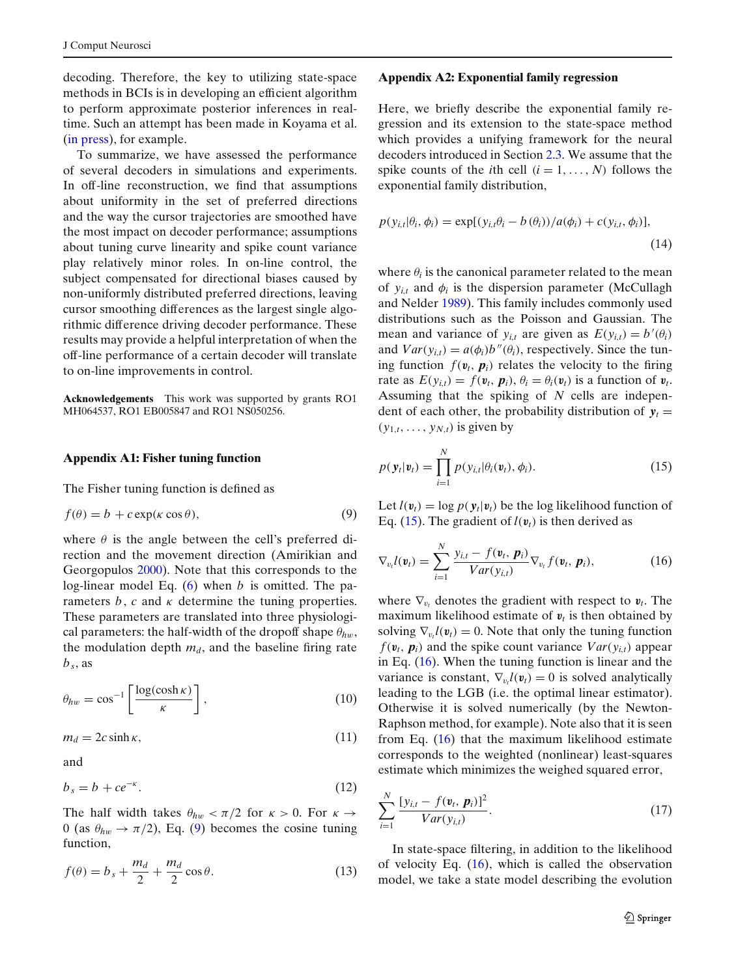<span id="page-12-0"></span>decoding. Therefore, the key to utilizing state-space methods in BCIs is in developing an efficient algorithm to perform approximate posterior inferences in realtime. Such an attempt has been made in Koyama et al[.](#page-13-0) [\(in press\)](#page-13-0), for example.

To summarize, we have assessed the performance of several decoders in simulations and experiments. In off-line reconstruction, we find that assumptions about uniformity in the set of preferred directions and the way the cursor trajectories are smoothed have the most impact on decoder performance; assumptions about tuning curve linearity and spike count variance play relatively minor roles. In on-line control, the subject compensated for directional biases caused by non-uniformly distributed preferred directions, leaving cursor smoothing differences as the largest single algorithmic difference driving decoder performance. These results may provide a helpful interpretation of when the off-line performance of a certain decoder will translate to on-line improvements in control.

**Acknowledgements** This work was supported by grants RO1 MH064537, RO1 EB005847 and RO1 NS050256.

# **Appendix A1: Fisher tuning function**

The Fisher tuning function is defined as

$$
f(\theta) = b + c \exp(\kappa \cos \theta),\tag{9}
$$

where  $\theta$  is the angle between the cell's preferred direction and the movement direction (Amirikian and Georgopulo[s](#page-13-0) [2000](#page-13-0)). Note that this corresponds to the log-linear model Eq. [\(6\)](#page-2-0) when *b* is omitted. The parameters  $b$ ,  $c$  and  $\kappa$  determine the tuning properties. These parameters are translated into three physiological parameters: the half-width of the dropoff shape  $\theta_{hw}$ , the modulation depth  $m_d$ , and the baseline firing rate  $b_s$ , as

$$
\theta_{hw} = \cos^{-1}\left[\frac{\log(\cosh\kappa)}{\kappa}\right],\tag{10}
$$

$$
m_d = 2c \sinh \kappa, \tag{11}
$$

and

$$
b_s = b + ce^{-\kappa}.\tag{12}
$$

The half width takes  $\theta_{hw} < \pi/2$  for  $\kappa > 0$ . For  $\kappa \to$ 0 (as  $\theta_{hw} \rightarrow \pi/2$ ), Eq. (9) becomes the cosine tuning function,

$$
f(\theta) = b_s + \frac{m_d}{2} + \frac{m_d}{2}\cos\theta.
$$
 (13)

#### **Appendix A2: Exponential family regression**

Here, we briefly describe the exponential family regression and its extension to the state-space method which provides a unifying framework for the neural decoders introduced in Section [2.3.](#page-3-0) We assume that the spike counts of the *i*th cell  $(i = 1, ..., N)$  follows the exponential family distribution,

$$
p(y_{i,t}|\theta_i, \phi_i) = \exp[(y_{i,t}\theta_i - b(\theta_i))/a(\phi_i) + c(y_{i,t}, \phi_i)],
$$
\n(14)

where  $\theta_i$  is the canonical parameter related to the mean of  $y_{i,t}$  and  $\phi_i$  is the dispersion parameter (McCullagh and Nelde[r](#page-14-0) [1989\)](#page-14-0). This family includes commonly used distributions such as the Poisson and Gaussian. The mean and variance of  $y_{i,t}$  are given as  $E(y_{i,t}) = b'(\theta_i)$ and  $Var(y_{i,t}) = a(\phi_i)b''(\theta_i)$ , respectively. Since the tuning function  $f(\mathbf{v}_t, \mathbf{p}_i)$  relates the velocity to the firing rate as  $E(y_{i,t}) = f(\mathbf{v}_t, \mathbf{p}_i), \theta_i = \theta_i(\mathbf{v}_t)$  is a function of  $\mathbf{v}_t$ . Assuming that the spiking of *N* cells are independent of each other, the probability distribution of  $y_t =$  $(y_{1,t},\ldots,y_{N,t})$  is given by

$$
p(\mathbf{y}_t|\mathbf{v}_t) = \prod_{i=1}^N p(y_{i,t}|\theta_i(\mathbf{v}_t), \phi_i).
$$
 (15)

Let  $l(v_t) = \log p(y_t|v_t)$  be the log likelihood function of Eq. (15). The gradient of  $l(\mathbf{v}_t)$  is then derived as

$$
\nabla_{v_i} l(\boldsymbol{v}_t) = \sum_{i=1}^N \frac{y_{i,t} - f(\boldsymbol{v}_t, \boldsymbol{p}_i)}{Var(y_{i,t})} \nabla_{v_t} f(\boldsymbol{v}_t, \boldsymbol{p}_i), \qquad (16)
$$

where  $\nabla_{v_t}$  denotes the gradient with respect to  $v_t$ . The maximum likelihood estimate of  $v_t$  is then obtained by solving  $\nabla_{v_t} l(\mathbf{v}_t) = 0$ . Note that only the tuning function  $f(\mathbf{v}_t, \mathbf{p}_i)$  and the spike count variance  $Var(\mathbf{v}_{i,t})$  appear in Eq. (16). When the tuning function is linear and the variance is constant,  $\nabla_{v_t} l(\mathbf{v}_t) = 0$  is solved analytically leading to the LGB (i.e. the optimal linear estimator). Otherwise it is solved numerically (by the Newton-Raphson method, for example). Note also that it is seen from Eq. (16) that the maximum likelihood estimate corresponds to the weighted (nonlinear) least-squares estimate which minimizes the weighed squared error,

$$
\sum_{i=1}^{N} \frac{[y_{i,t} - f(\mathbf{v}_t, \, \mathbf{p}_i)]^2}{Var(y_{i,t})}.\tag{17}
$$

In state-space filtering, in addition to the likelihood of velocity Eq.  $(16)$ , which is called the observation model, we take a state model describing the evolution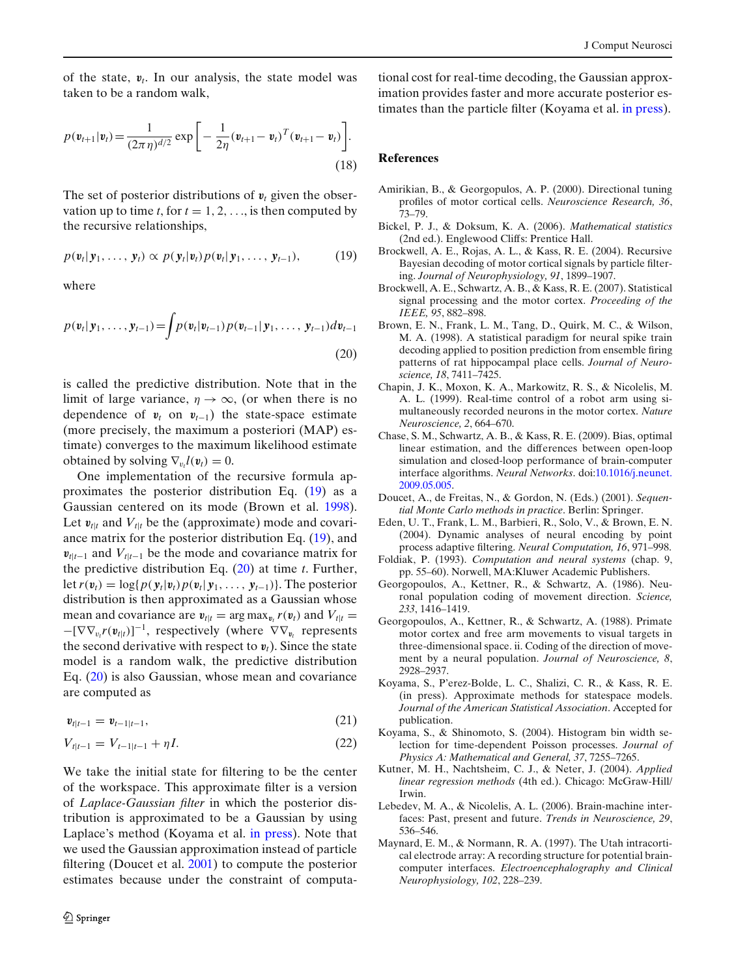<span id="page-13-0"></span>of the state, *vt*. In our analysis, the state model was taken to be a random walk,

$$
p(\mathbf{v}_{t+1}|\mathbf{v}_t) = \frac{1}{(2\pi\eta)^{d/2}} \exp\bigg[-\frac{1}{2\eta}(\mathbf{v}_{t+1} - \mathbf{v}_t)^T(\mathbf{v}_{t+1} - \mathbf{v}_t)\bigg].
$$
\n(18)

The set of posterior distributions of  $v_t$  given the observation up to time *t*, for  $t = 1, 2, \ldots$ , is then computed by the recursive relationships,

$$
p(\mathbf{v}_t|\mathbf{y}_1,\ldots,\mathbf{y}_t) \propto p(\mathbf{y}_t|\mathbf{v}_t)p(\mathbf{v}_t|\mathbf{y}_1,\ldots,\mathbf{y}_{t-1}),
$$
 (19)

where

$$
p(\mathbf{v}_t|\mathbf{y}_1,\ldots,\mathbf{y}_{t-1}) = \int p(\mathbf{v}_t|\mathbf{v}_{t-1}) p(\mathbf{v}_{t-1}|\mathbf{y}_1,\ldots,\mathbf{y}_{t-1}) d\mathbf{v}_{t-1}
$$
\n(20)

is called the predictive distribution. Note that in the limit of large variance,  $\eta \to \infty$ , (or when there is no dependence of  $v_t$  on  $v_{t-1}$ ) the state-space estimate (more precisely, the maximum a posteriori (MAP) estimate) converges to the maximum likelihood estimate obtained by solving  $\nabla_{v_t} l(\mathbf{v}_t) = 0$ .

One implementation of the recursive formula approximates the posterior distribution Eq. (19) as a Gaussian centered on its mode (Brown et al. 1998). Let  $v_{t|t}$  and  $V_{t|t}$  be the (approximate) mode and covariance matrix for the posterior distribution Eq. (19), and  $v_{t|t-1}$  and  $V_{t|t-1}$  be the mode and covariance matrix for the predictive distribution Eq. (20) at time *t*. Further, let  $r(\mathbf{v}_t) = \log\{p(\mathbf{y}_t|\mathbf{v}_t)p(\mathbf{v}_t|\mathbf{y}_1,\ldots,\mathbf{y}_{t-1})\}$ . The posterior distribution is then approximated as a Gaussian whose mean and covariance are  $v_{t|t} = \arg \max_{v_t} r(v_t)$  and  $V_{t|t} =$ −[∇∇<sup>v</sup>*<sup>t</sup> r*(*vt*|*t*)] <sup>−</sup><sup>1</sup>, respectively (where ∇∇*<sup>v</sup><sup>t</sup>* represents the second derivative with respect to  $v_t$ ). Since the state model is a random walk, the predictive distribution Eq. (20) is also Gaussian, whose mean and covariance are computed as

$$
\mathbf{v}_{t|t-1} = \mathbf{v}_{t-1|t-1},\tag{21}
$$

$$
V_{t|t-1} = V_{t-1|t-1} + \eta I.
$$
\n(22)

We take the initial state for filtering to be the center of the workspace. This approximate filter is a version of *Laplace-Gaussian filter* in which the posterior distribution is approximated to be a Gaussian by using Laplace's method (Koyama et al. in press). Note that we used the Gaussian approximation instead of particle filtering (Doucet et al. 2001) to compute the posterior estimates because under the constraint of computa-

tional cost for real-time decoding, the Gaussian approximation provides faster and more accurate posterior estimates than the particle filter (Koyama et al. in press).

#### **References**

- Amirikian, B., & Georgopulos, A. P. (2000). Directional tuning profiles of motor cortical cells. *Neuroscience Research, 36*, 73–79.
- Bickel, P. J., & Doksum, K. A. (2006). *Mathematical statistics* (2nd ed.). Englewood Cliffs: Prentice Hall.
- Brockwell, A. E., Rojas, A. L., & Kass, R. E. (2004). Recursive Bayesian decoding of motor cortical signals by particle filtering. *Journal of Neurophysiology, 91*, 1899–1907.
- Brockwell, A. E., Schwartz, A. B., & Kass, R. E. (2007). Statistical signal processing and the motor cortex. *Proceeding of the IEEE, 95*, 882–898.
- Brown, E. N., Frank, L. M., Tang, D., Quirk, M. C., & Wilson, M. A. (1998). A statistical paradigm for neural spike train decoding applied to position prediction from ensemble firing patterns of rat hippocampal place cells. *Journal of Neuroscience, 18*, 7411–7425.
- Chapin, J. K., Moxon, K. A., Markowitz, R. S., & Nicolelis, M. A. L. (1999). Real-time control of a robot arm using simultaneously recorded neurons in the motor cortex. *Nature Neuroscience, 2*, 664–670.
- Chase, S. M., Schwartz, A. B., & Kass, R. E. (2009). Bias, optimal linear estimation, and the differences between open-loop simulation and closed-loop performance of brain-computer interface algorithms. *Neural Networks*. doi[:10.1016/j.neunet.](http://dx.doi.org/10.1016/j.neunet.2009.05.005) [2009.05.005.](http://dx.doi.org/10.1016/j.neunet.2009.05.005)
- Doucet, A., de Freitas, N., & Gordon, N. (Eds.) (2001). *Sequential Monte Carlo methods in practice*. Berlin: Springer.
- Eden, U. T., Frank, L. M., Barbieri, R., Solo, V., & Brown, E. N. (2004). Dynamic analyses of neural encoding by point process adaptive filtering. *Neural Computation, 16*, 971–998.
- Foldiak, P. (1993). *Computation and neural systems* (chap. 9, pp. 55–60). Norwell, MA:Kluwer Academic Publishers.
- Georgopoulos, A., Kettner, R., & Schwartz, A. (1986). Neuronal population coding of movement direction. *Science, 233*, 1416–1419.
- Georgopoulos, A., Kettner, R., & Schwartz, A. (1988). Primate motor cortex and free arm movements to visual targets in three-dimensional space. ii. Coding of the direction of movement by a neural population. *Journal of Neuroscience, 8*, 2928–2937.
- Koyama, S., P'erez-Bolde, L. C., Shalizi, C. R., & Kass, R. E. (in press). Approximate methods for statespace models. *Journal of the American Statistical Association*. Accepted for publication.
- Koyama, S., & Shinomoto, S. (2004). Histogram bin width selection for time-dependent Poisson processes. *Journal of Physics A: Mathematical and General, 37*, 7255–7265.
- Kutner, M. H., Nachtsheim, C. J., & Neter, J. (2004). *Applied linear regression methods* (4th ed.). Chicago: McGraw-Hill/ Irwin.
- Lebedev, M. A., & Nicolelis, A. L. (2006). Brain-machine interfaces: Past, present and future. *Trends in Neuroscience, 29*, 536–546.
- Maynard, E. M., & Normann, R. A. (1997). The Utah intracortical electrode array: A recording structure for potential braincomputer interfaces. *Electroencephalography and Clinical Neurophysiology, 102*, 228–239.